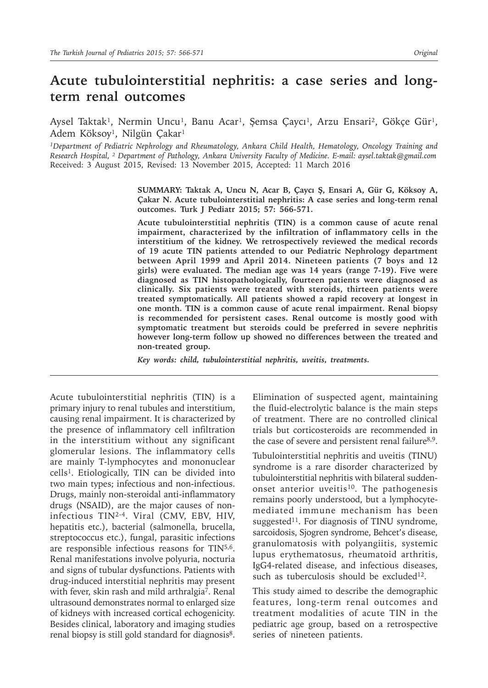# **Acute tubulointerstitial nephritis: a case series and longterm renal outcomes**

Aysel Taktak<sup>1</sup>, Nermin Uncu<sup>1</sup>, Banu Acar<sup>1</sup>, Şemsa Çaycı<sup>1</sup>, Arzu Ensari<sup>2</sup>, Gökçe Gür<sup>1</sup>, Adem Köksoy<sup>1</sup>, Nilgün Çakar<sup>1</sup>

*<sup>1</sup>Department of Pediatric Nephrology and Rheumatology, Ankara Child Health, Hematology, Oncology Training and Research Hospital, ² Department of Pathology, Ankara University Faculty of Medicine. E-mail: aysel.taktak@gmail.com* Received: 3 August 2015, Revised: 13 November 2015, Accepted: 11 March 2016

> **SUMMARY: Taktak A, Uncu N, Acar B, Çaycı Ş, Ensari A, Gür G, Köksoy A, Çakar N. Acute tubulointerstitial nephritis: A case series and long-term renal outcomes. Turk J Pediatr 2015; 57: 566-571.**

> **Acute tubulointerstitial nephritis (TIN) is a common cause of acute renal impairment, characterized by the infiltration of inflammatory cells in the interstitium of the kidney. We retrospectively reviewed the medical records of 19 acute TIN patients attended to our Pediatric Nephrology department between April 1999 and April 2014. Nineteen patients (7 boys and 12 girls) were evaluated. The median age was 14 years (range 7-19). Five were diagnosed as TIN histopathologically, fourteen patients were diagnosed as clinically. Six patients were treated with steroids, thirteen patients were treated symptomatically. All patients showed a rapid recovery at longest in one month. TIN is a common cause of acute renal impairment. Renal biopsy is recommended for persistent cases. Renal outcome is mostly good with symptomatic treatment but steroids could be preferred in severe nephritis however long-term follow up showed no differences between the treated and non-treated group.**

*Key words: child, tubulointerstitial nephritis, uveitis, treatments.*

Acute tubulointerstitial nephritis (TIN) is a primary injury to renal tubules and interstitium, causing renal impairment. It is characterized by the presence of inflammatory cell infiltration in the interstitium without any significant glomerular lesions. The inflammatory cells are mainly T-lymphocytes and mononuclear cells<sup>1</sup>. Etiologically, TIN can be divided into two main types; infectious and non-infectious. Drugs, mainly non-steroidal anti-inflammatory drugs (NSAID), are the major causes of noninfectious TIN2-4. Viral (CMV, EBV, HIV, hepatitis etc.), bacterial (salmonella, brucella, streptococcus etc.), fungal, parasitic infections are responsible infectious reasons for TIN<sup>5,6</sup>. Renal manifestations involve polyuria, nocturia and signs of tubular dysfunctions. Patients with drug-induced interstitial nephritis may present with fever, skin rash and mild arthralgia<sup>7</sup>. Renal ultrasound demonstrates normal to enlarged size of kidneys with increased cortical echogenicity. Besides clinical, laboratory and imaging studies renal biopsy is still gold standard for diagnosis<sup>8</sup>.

Elimination of suspected agent, maintaining the fluid-electrolytic balance is the main steps of treatment. There are no controlled clinical trials but corticosteroids are recommended in the case of severe and persistent renal failure $8.9$ .

Tubulointerstitial nephritis and uveitis (TINU) syndrome is a rare disorder characterized by tubulointerstitial nephritis with bilateral suddenonset anterior uveitis<sup>10</sup>. The pathogenesis remains poorly understood, but a lymphocytemediated immune mechanism has been suggested<sup>11</sup>. For diagnosis of TINU syndrome, sarcoidosis, Sjogren syndrome, Behcet's disease, granulomatosis with polyangiitis, systemic lupus erythematosus, rheumatoid arthritis, IgG4-related disease, and infectious diseases, such as tuberculosis should be excluded<sup>12</sup>.

This study aimed to describe the demographic features, long-term renal outcomes and treatment modalities of acute TIN in the pediatric age group, based on a retrospective series of nineteen patients.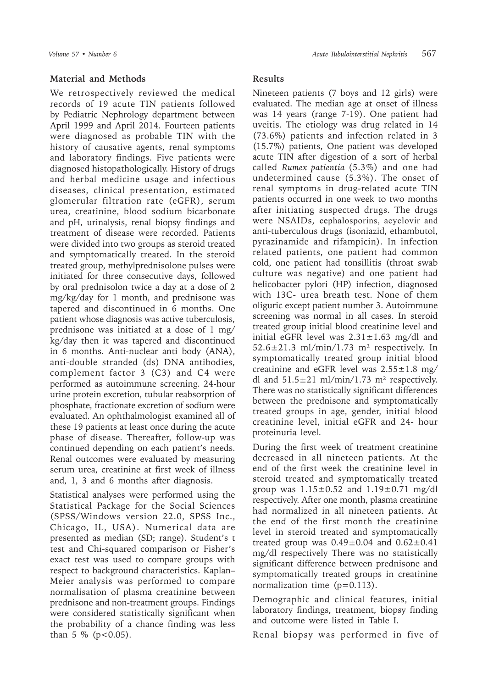#### **Material and Methods**

We retrospectively reviewed the medical records of 19 acute TIN patients followed by Pediatric Nephrology department between April 1999 and April 2014. Fourteen patients were diagnosed as probable TIN with the history of causative agents, renal symptoms and laboratory findings. Five patients were diagnosed histopathologically. History of drugs and herbal medicine usage and infectious diseases, clinical presentation, estimated glomerular filtration rate (eGFR), serum urea, creatinine, blood sodium bicarbonate and pH, urinalysis, renal biopsy findings and treatment of disease were recorded. Patients were divided into two groups as steroid treated and symptomatically treated. In the steroid treated group, methylprednisolone pulses were initiated for three consecutive days, followed by oral prednisolon twice a day at a dose of 2 mg/kg/day for 1 month, and prednisone was tapered and discontinued in 6 months. One patient whose diagnosis was active tuberculosis, prednisone was initiated at a dose of 1 mg/ kg/day then it was tapered and discontinued in 6 months. Anti-nuclear anti body (ANA), anti-double stranded (ds) DNA antibodies, complement factor 3 (C3) and C4 were performed as autoimmune screening. 24-hour urine protein excretion, tubular reabsorption of phosphate, fractionate excretion of sodium were evaluated. An ophthalmologist examined all of these 19 patients at least once during the acute phase of disease. Thereafter, follow-up was continued depending on each patient's needs. Renal outcomes were evaluated by measuring serum urea, creatinine at first week of illness and, 1, 3 and 6 months after diagnosis.

Statistical analyses were performed using the Statistical Package for the Social Sciences (SPSS/Windows version 22.0, SPSS Inc., Chicago, IL, USA). Numerical data are presented as median (SD; range). Student's t test and Chi-squared comparison or Fisher's exact test was used to compare groups with respect to background characteristics. Kaplan– Meier analysis was performed to compare normalisation of plasma creatinine between prednisone and non-treatment groups. Findings were considered statistically significant when the probability of a chance finding was less than 5  $%$  (p < 0.05).

## **Results**

Nineteen patients (7 boys and 12 girls) were evaluated. The median age at onset of illness was 14 years (range 7-19). One patient had uveitis. The etiology was drug related in 14 (73.6%) patients and infection related in 3 (15.7%) patients, One patient was developed acute TIN after digestion of a sort of herbal called *Rumex patientia* (5.3%) and one had undetermined cause (5.3%). The onset of renal symptoms in drug-related acute TIN patients occurred in one week to two months after initiating suspected drugs. The drugs were NSAIDs, cephalosporins, acyclovir and anti-tuberculous drugs (isoniazid, ethambutol, pyrazinamide and rifampicin). In infection related patients, one patient had common cold, one patient had tonsillitis (throat swab culture was negative) and one patient had helicobacter pylori (HP) infection, diagnosed with 13C- urea breath test. None of them oliguric except patient number 3. Autoimmune screening was normal in all cases. In steroid treated group initial blood creatinine level and initial eGFR level was  $2.31 \pm 1.63$  mg/dl and  $52.6 \pm 21.3$  ml/min/1.73 m<sup>2</sup> respectively. In symptomatically treated group initial blood creatinine and eGFR level was  $2.55 \pm 1.8$  mg/ dl and  $51.5\pm21$  ml/min/1.73 m<sup>2</sup> respectively. There was no statistically significant differences between the prednisone and symptomatically treated groups in age, gender, initial blood creatinine level, initial eGFR and 24- hour proteinuria level.

During the first week of treatment creatinine decreased in all nineteen patients. At the end of the first week the creatinine level in steroid treated and symptomatically treated group was  $1.15 \pm 0.52$  and  $1.19 \pm 0.71$  mg/dl respectively. After one month, plasma creatinine had normalized in all nineteen patients. At the end of the first month the creatinine level in steroid treated and symptomatically treated group was  $0.49\pm0.04$  and  $0.62\pm0.41$ mg/dl respectively There was no statistically significant difference between prednisone and symptomatically treated groups in creatinine normalization time  $(p=0.113)$ .

Demographic and clinical features, initial laboratory findings, treatment, biopsy finding and outcome were listed in Table I.

Renal biopsy was performed in five of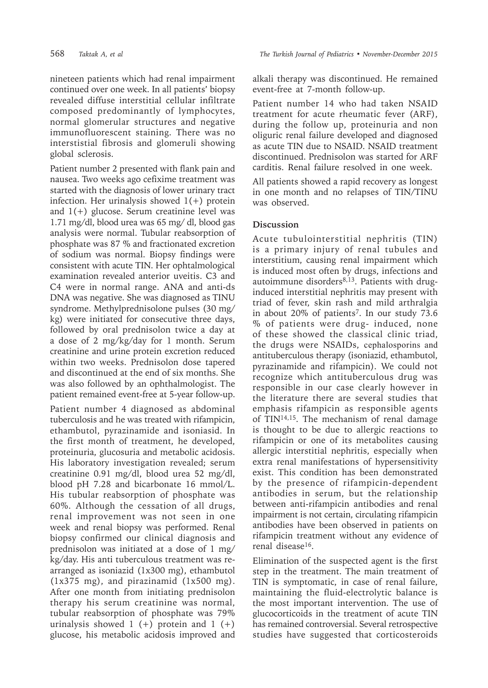nineteen patients which had renal impairment continued over one week. In all patients' biopsy revealed diffuse interstitial cellular infiltrate composed predominantly of lymphocytes, normal glomerular structures and negative immunofluorescent staining. There was no interstistial fibrosis and glomeruli showing global sclerosis.

Patient number 2 presented with flank pain and nausea. Two weeks ago cefixime treatment was started with the diagnosis of lower urinary tract infection. Her urinalysis showed  $1(+)$  protein and  $1(+)$  glucose. Serum creatinine level was 1.71 mg/dl, blood urea was 65 mg/ dl, blood gas analysis were normal. Tubular reabsorption of phosphate was 87 % and fractionated excretion of sodium was normal. Biopsy findings were consistent with acute TIN. Her ophtalmological examination revealed anterior uveitis. C3 and C4 were in normal range. ANA and anti-ds DNA was negative. She was diagnosed as TINU syndrome. Methylprednisolone pulses (30 mg/ kg) were initiated for consecutive three days, followed by oral prednisolon twice a day at a dose of 2 mg/kg/day for 1 month. Serum creatinine and urine protein excretion reduced within two weeks. Prednisolon dose tapered and discontinued at the end of six months. She was also followed by an ophthalmologist. The patient remained event-free at 5-year follow-up.

Patient number 4 diagnosed as abdominal tuberculosis and he was treated with rifampicin, ethambutol, pyrazinamide and isoniasid. In the first month of treatment, he developed, proteinuria, glucosuria and metabolic acidosis. His laboratory investigation revealed; serum creatinine 0.91 mg/dl, blood urea 52 mg/dl, blood pH 7.28 and bicarbonate 16 mmol/L. His tubular reabsorption of phosphate was 60%. Although the cessation of all drugs, renal improvement was not seen in one week and renal biopsy was performed. Renal biopsy confirmed our clinical diagnosis and prednisolon was initiated at a dose of 1 mg/ kg/day. His anti tuberculous treatment was rearranged as isoniazid (1x300 mg), ethambutol (1x375 mg), and pirazinamid (1x500 mg). After one month from initiating prednisolon therapy his serum creatinine was normal, tubular reabsorption of phosphate was 79% urinalysis showed  $1 (+)$  protein and  $1 (+)$ glucose, his metabolic acidosis improved and

alkali therapy was discontinued. He remained event-free at 7-month follow-up.

Patient number 14 who had taken NSAID treatment for acute rheumatic fever (ARF), during the follow up, proteinuria and non oliguric renal failure developed and diagnosed as acute TIN due to NSAID. NSAID treatment discontinued. Prednisolon was started for ARF carditis. Renal failure resolved in one week.

All patients showed a rapid recovery as longest in one month and no relapses of TIN/TINU was observed.

## **Discussion**

Acute tubulointerstitial nephritis (TIN) is a primary injury of renal tubules and interstitium, causing renal impairment which is induced most often by drugs, infections and autoimmune disorders<sup>8,13</sup>. Patients with druginduced interstitial nephritis may present with triad of fever, skin rash and mild arthralgia in about 20% of patients<sup>7</sup>. In our study 73.6 % of patients were drug- induced, none of these showed the classical clinic triad, the drugs were NSAIDs, cephalosporins and antituberculous therapy (isoniazid, ethambutol, pyrazinamide and rifampicin). We could not recognize which antituberculous drug was responsible in our case clearly however in the literature there are several studies that emphasis rifampicin as responsible agents of  $TIN^{14,15}$ . The mechanism of renal damage is thought to be due to allergic reactions to rifampicin or one of its metabolites causing allergic interstitial nephritis, especially when extra renal manifestations of hypersensitivity exist. This condition has been demonstrated by the presence of rifampicin-dependent antibodies in serum, but the relationship between anti-rifampicin antibodies and renal impairment is not certain, circulating rifampicin antibodies have been observed in patients on rifampicin treatment without any evidence of renal disease16.

Elimination of the suspected agent is the first step in the treatment. The main treatment of TIN is symptomatic, in case of renal failure, maintaining the fluid-electrolytic balance is the most important intervention. The use of glucocorticoids in the treatment of acute TIN has remained controversial. Several retrospective studies have suggested that corticosteroids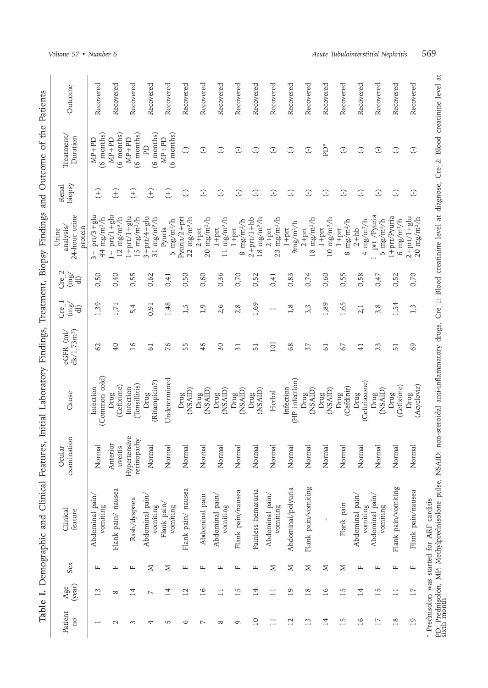|                                                                                                                           | Outcome                                                                 | Recovered                                                    | Recovered                                                | Recovered                                          | Recovered                                         | Recovered                       | Recovered                                         | Recovered                         | Recovered                         | Recovered                        | Recovered                             | Recovered                             | Recovered                         | Recovered                                     | Recovered                         | Recovered                        | Recovered                                     | Recovered                    | Recovered                         | Recovered                                                    |
|---------------------------------------------------------------------------------------------------------------------------|-------------------------------------------------------------------------|--------------------------------------------------------------|----------------------------------------------------------|----------------------------------------------------|---------------------------------------------------|---------------------------------|---------------------------------------------------|-----------------------------------|-----------------------------------|----------------------------------|---------------------------------------|---------------------------------------|-----------------------------------|-----------------------------------------------|-----------------------------------|----------------------------------|-----------------------------------------------|------------------------------|-----------------------------------|--------------------------------------------------------------|
| and Outcome of the Patients<br>Demographic and Clinical Features, Initial Laboratory Findings, Treatment, Biopsy Findings | Treatment<br>Duration                                                   | $(6 \text{ months})$<br>$MP+PD$                              | $(6$ months)<br>$MP+PD$                                  | $(6 \text{ months})$<br>$MP+PD$                    | $(6$ months)<br>PD                                | $(6 \text{ months})$<br>$MP+PD$ | $\widehat{\cdot}$                                 | $\circlearrowright$               | $\bigcirc$                        | G                                | $\mathbb{C}$                          | $\odot$                               | $\odot$                           | $\bigcirc$                                    | ŤP                                | $\circlearrowleft$               | $\bigcirc$                                    | $\bigcirc$                   | $\odot$                           | $\mathbb{C}$                                                 |
|                                                                                                                           | biopsy<br>Renal                                                         | $\widehat{t}$                                                | $\widehat{t}$                                            | F)                                                 | $\widehat{t}$                                     | E                               | $\bigcirc$                                        | $\bigcirc$                        | $\bigcirc$                        | $\bigcirc$                       | $\bigcirc$                            | $\odot$                               | $\bigcirc$                        | $\bigcirc$                                    | $\mathbb{C}$                      | $\bigcirc$                       | $\odot$                                       | $\bigcirc$                   | $\bigcirc$                        | $\mathbb{C}$                                                 |
|                                                                                                                           | 24-hour urine<br>analysis/<br>protein<br>Urine                          | $3 + \text{prt}/3 + \text{glu}$<br>$44$ mg/m <sup>2</sup> /h | $1 + \text{prt}/1 + \text{glu}$<br>$12 \text{ mg/m}^2/h$ | $1+prt/1+glu$<br>$15 \text{ mg/m}$ <sup>2</sup> /h | $3 + prt/4 + glu$<br>$31 \text{ mg/m}^2/\text{h}$ | 5 $mg/m^2/h$<br>Pyuria          | Pyuria/2+prt<br>$22 \text{ mg/m}$ <sup>2</sup> /h | $20 \text{ mg/m}^2/h$<br>$2+$ prt | $11 \text{ mg/m}^2/h$<br>$1+$ prt | $8 \text{ mg/m}^2/h$<br>$1+$ prt | $2+prt/1+hb$<br>$18 \text{ mg/m}^2/h$ | $23$ mg/m <sup>2</sup> /h<br>$2+$ prt | 9mg/m <sup>2</sup> /h<br>$1+$ prt | $18 \text{ mg/m}$ <sup>2</sup> /h<br>$2+$ prt | $10 \text{ mg/m}^2/h$<br>$1+$ prt | $8 \text{ mg/m}^2/h$<br>$1+$ prt | $4 \text{ mg/m}$ <sup>2</sup> /h<br>$2 + h b$ | 1+prt /Pyuria<br>5 $mg/m2/h$ | 1+prt/Pyuria<br>$6$ mg/m $^{2}/h$ | $2 + \text{prt}/1 + \text{glu}$<br>$20$ mg/m <sup>2</sup> /h |
|                                                                                                                           | $\mathbf{\sim}$<br>$\left(\frac{1}{2}\right)$<br>Cre <sup>1</sup><br>ਰਿ | 0,50                                                         | 0,40                                                     | 0,55                                               | 0,62                                              | 0,41                            | 0,50                                              | 0,60                              | 0,36                              | 0,70                             | 0,52                                  | 0,41                                  | 0,83                              | 0,74                                          | 0,60                              | 0,55                             | 0,58                                          | 0,47                         | 0,52                              | 0,70                                                         |
|                                                                                                                           | $Cre-$<br>(mg/<br>ਚਿ                                                    | 1,39                                                         | 1,71                                                     | 5,4                                                | 0,91                                              | 1,48                            | 1,5                                               | 1,9                               | 2,6                               | 2, 8                             | 1,69                                  | $\overline{\phantom{0}}$              | 1,8                               | 3,3                                           | 1,89                              | 1,65                             | 2,1                                           | 3,8                          | 1,54                              | 1,3                                                          |
|                                                                                                                           | dk/1,73m <sup>2</sup><br>$eGFR$ (ml/                                    | 2                                                            | $\overline{40}$                                          | 16                                                 | 61                                                | 76                              | 55                                                | 46                                | $\delta$                          | 31                               | 51                                    | 101                                   | 68                                | 37                                            | 61                                | 67                               | 41                                            | 23                           | 51                                | 69                                                           |
|                                                                                                                           | Cause                                                                   | (Common cold)<br>Infection                                   | (Cefixime)<br>Drug                                       | (Tonsillitis)<br>Infection                         | (Rifampicin?)<br>Drug                             | Undetermined                    | $_{\rm Drug}^{\rm Drug}$ (NSAID)                  | <b>CIASAID</b><br>Drug            | <b>CIASAID</b><br>Drug            | (NSAID)<br>Drug                  | (NSAID)<br>Drug                       | Herbal                                | (HP infection)<br>Infection       | Drug<br>(NSAID)                               | $_{\rm{Drag}}^{\rm{Drag}}$        | (Cefdinir)<br>Drug               | (Ceftriaxone)<br>Drug                         | (NSAID)<br>Drug              | Drug<br>(Cefixime)                | (Acyclovir)<br>Drug                                          |
|                                                                                                                           | examination<br>Ocular                                                   | Normal                                                       | Anterior<br>uveitis                                      | Hypertensive<br>retinopathy                        | Normal                                            | Normal                          | Normal                                            | Normal                            | Normal                            | Norma                            | Normal                                | Normal                                | Normal                            | Normal                                        | Normal                            | Normal                           | Normal                                        | Normal                       | Normal                            | Normal                                                       |
|                                                                                                                           | Clinical<br>feature                                                     | Abdominal pain/<br>vomiting                                  | Flank pain/ nausea                                       | Rash/dyspnea                                       | Abdominal pain/<br>vomiting                       | Flank pain<br>vomiting          | Flank pain/ nausea                                | Abdominal pain                    | Abdominal pain/<br>vomiting       | Flank pain/nausea                | Painless hematuria                    | Abdominal pain/<br>vomiting           | Abdominal/polyuria                | Flank pain/vomiting                           | $\mathbf{I}$                      | Flank pain                       | Abdominal pain/<br>vomiting                   | Abdominal pain/<br>vomiting  | Flank pain/vomiting               | Flank pain/nausea                                            |
|                                                                                                                           | Sex                                                                     | щ                                                            | щ                                                        | $\mathbf{L}$                                       | $\geq$                                            | Σ                               | $\mathbf{L}$                                      | щ                                 | $\mathbf{L}$                      | щ                                | $\mathbf{L}$                          | Σ                                     | $\geq$                            | $\geq$                                        | Σ                                 | Σ                                | щ                                             | $\mathbf{L}$                 | $\mathbf{L}$                      | щ                                                            |
|                                                                                                                           | (year)<br>Age                                                           | 13                                                           | $\infty$                                                 | $\overline{14}$                                    | $\overline{ }$                                    | 14                              | $\overline{12}$                                   | 16                                | $\Box$                            | 15                               | 14                                    | $\Box$                                | $\overline{19}$                   | $18$                                          | 16                                | 15                               | 14                                            | 15                           | $\Box$                            | $\overline{17}$                                              |
| Table I.                                                                                                                  | Patient<br>ΩO                                                           |                                                              | $\mathcal{L}$                                            | $\mathcal{E}$                                      | 4                                                 | LO                              | $\circ$                                           | $\overline{ }$                    | $\infty$                          | $\circ$                          | $\overline{a}$                        | $\Box$                                | $\overline{12}$                   | 13                                            | 14                                | 15                               | 16                                            | $\overline{17}$              | 18                                | $\overline{19}$                                              |

\* Prednisolon was started for ARF carditis

PD: Prednisolon, MP: Methylprednisolone pulse, NSAID: non-steroidal anti-inflammatory drugs, Cre\_1: Blood creatinine level at diagnose, Cre\_2: Blood creatinine level at<br>sixth month

\* Prednisolon was started for ARF carditis<br>PD: Prednisolon, MP: Methylprednisolone pulse, NSAID: non-steroidal anti-inflammatory drugs, Cre\_1: Blood creatinine level (evel at sixth month<br>sixth month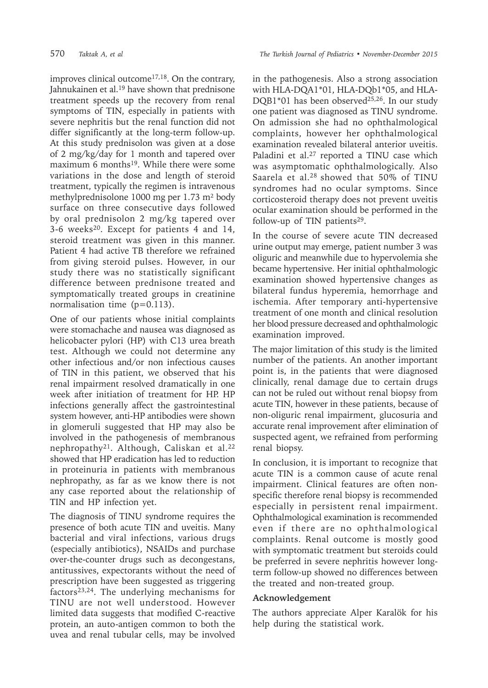improves clinical outcome<sup>17,18</sup>. On the contrary, Jahnukainen et al.<sup>19</sup> have shown that prednisone treatment speeds up the recovery from renal symptoms of TIN, especially in patients with severe nephritis but the renal function did not differ significantly at the long-term follow-up. At this study prednisolon was given at a dose of 2 mg/kg/day for 1 month and tapered over maximum 6 months<sup>19</sup>. While there were some variations in the dose and length of steroid treatment, typically the regimen is intravenous methylprednisolone 1000 mg per 1.73 m² body surface on three consecutive days followed by oral prednisolon 2 mg/kg tapered over 3-6 weeks20. Except for patients 4 and 14, steroid treatment was given in this manner. Patient 4 had active TB therefore we refrained from giving steroid pulses. However, in our study there was no statistically significant difference between prednisone treated and symptomatically treated groups in creatinine normalisation time (p=0.113).

One of our patients whose initial complaints were stomachache and nausea was diagnosed as helicobacter pylori (HP) with C13 urea breath test. Although we could not determine any other infectious and/or non infectious causes of TIN in this patient, we observed that his renal impairment resolved dramatically in one week after initiation of treatment for HP. HP infections generally affect the gastrointestinal system however, anti-HP antibodies were shown in glomeruli suggested that HP may also be involved in the pathogenesis of membranous nephropathy<sup>21</sup>. Although, Caliskan et al.<sup>22</sup> showed that HP eradication has led to reduction in proteinuria in patients with membranous nephropathy, as far as we know there is not any case reported about the relationship of TIN and HP infection yet.

The diagnosis of TINU syndrome requires the presence of both acute TIN and uveitis. Many bacterial and viral infections, various drugs (especially antibiotics), NSAIDs and purchase over-the-counter drugs such as decongestans, antitussives, expectorants without the need of prescription have been suggested as triggering factors $23,24$ . The underlying mechanisms for TINU are not well understood. However limited data suggests that modified C-reactive protein, an auto-antigen common to both the uvea and renal tubular cells, may be involved

in the pathogenesis. Also a strong association with HLA-DQA1\*01, HLA-DQb1\*05, and HLA-DQB1\*01 has been observed<sup>25,26</sup>. In our study one patient was diagnosed as TINU syndrome. On admission she had no ophthalmological complaints, however her ophthalmological examination revealed bilateral anterior uveitis. Paladini et al.<sup>27</sup> reported a TINU case which was asymptomatic ophthalmologically. Also Saarela et al.28 showed that 50% of TINU syndromes had no ocular symptoms. Since corticosteroid therapy does not prevent uveitis ocular examination should be performed in the follow-up of TIN patients<sup>29</sup>.

In the course of severe acute TIN decreased urine output may emerge, patient number 3 was oliguric and meanwhile due to hypervolemia she became hypertensive. Her initial ophthalmologic examination showed hypertensive changes as bilateral fundus hyperemia, hemorrhage and ischemia. After temporary anti-hypertensive treatment of one month and clinical resolution her blood pressure decreased and ophthalmologic examination improved.

The major limitation of this study is the limited number of the patients. An another important point is, in the patients that were diagnosed clinically, renal damage due to certain drugs can not be ruled out without renal biopsy from acute TIN, however in these patients, because of non-oliguric renal impairment, glucosuria and accurate renal improvement after elimination of suspected agent, we refrained from performing renal biopsy.

In conclusion, it is important to recognize that acute TIN is a common cause of acute renal impairment. Clinical features are often nonspecific therefore renal biopsy is recommended especially in persistent renal impairment. Ophthalmological examination is recommended even if there are no ophthalmological complaints. Renal outcome is mostly good with symptomatic treatment but steroids could be preferred in severe nephritis however longterm follow-up showed no differences between the treated and non-treated group.

## **Acknowledgement**

The authors appreciate Alper Karalök for his help during the statistical work.